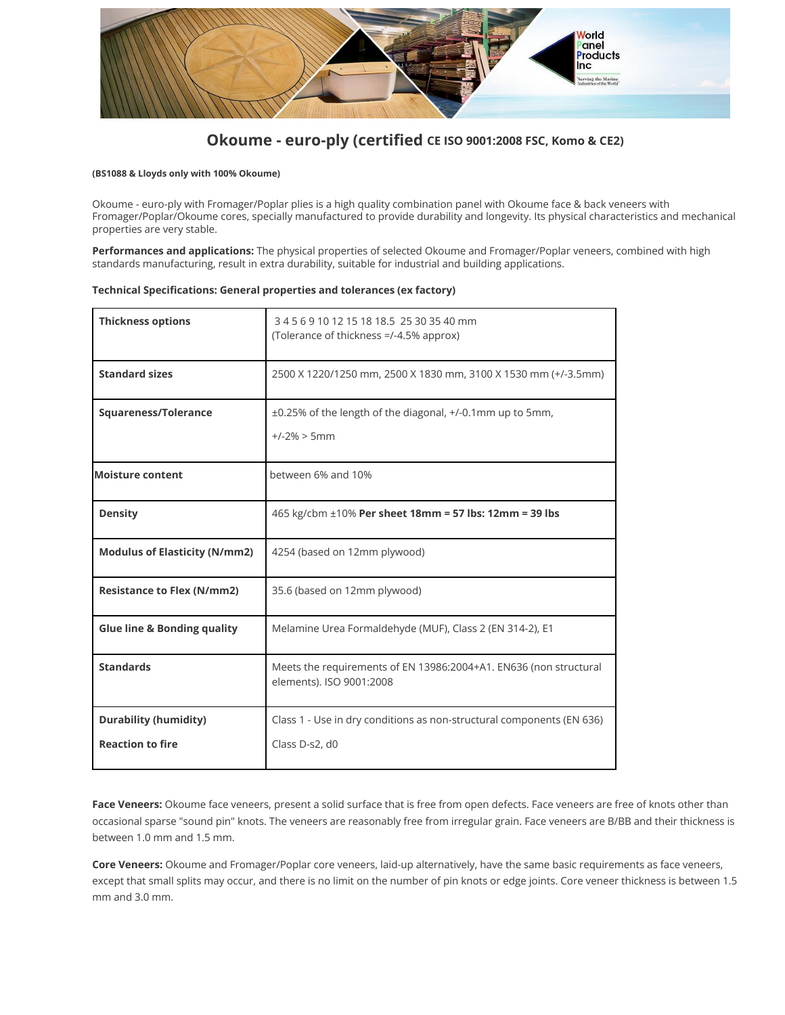

### **Okoume - euro-ply (certified CE ISO 9001:2008 FSC, Komo & CE2)**

### **(BS1088 & Lloyds only with 100% Okoume)**

Okoume - euro-ply with Fromager/Poplar plies is a high quality combination panel with Okoume face & back veneers with Fromager/Poplar/Okoume cores, specially manufactured to provide durability and longevity. Its physical characteristics and mechanical properties are very stable.

**Performances and applications:** The physical properties of selected Okoume and Fromager/Poplar veneers, combined with high standards manufacturing, result in extra durability, suitable for industrial and building applications.

### **Technical Specifications: General properties and tolerances (ex factory)**

| <b>Thickness options</b>               | 345691012151818.525303540mm<br>(Tolerance of thickness =/-4.5% approx)                        |
|----------------------------------------|-----------------------------------------------------------------------------------------------|
| <b>Standard sizes</b>                  | 2500 X 1220/1250 mm, 2500 X 1830 mm, 3100 X 1530 mm (+/-3.5mm)                                |
| <b>Squareness/Tolerance</b>            | ±0.25% of the length of the diagonal, +/-0.1mm up to 5mm,<br>$+/-2\% > 5mm$                   |
| <b>Moisture content</b>                | between 6% and 10%                                                                            |
| <b>Density</b>                         | 465 kg/cbm ±10% Per sheet 18mm = 57 lbs: 12mm = 39 lbs                                        |
| <b>Modulus of Elasticity (N/mm2)</b>   | 4254 (based on 12mm plywood)                                                                  |
| <b>Resistance to Flex (N/mm2)</b>      | 35.6 (based on 12mm plywood)                                                                  |
| <b>Glue line &amp; Bonding quality</b> | Melamine Urea Formaldehyde (MUF), Class 2 (EN 314-2), E1                                      |
| <b>Standards</b>                       | Meets the requirements of EN 13986:2004+A1. EN636 (non structural<br>elements). ISO 9001:2008 |
| <b>Durability (humidity)</b>           | Class 1 - Use in dry conditions as non-structural components (EN 636)                         |
| <b>Reaction to fire</b>                | Class D-s2, d0                                                                                |

**Face Veneers:** Okoume face veneers, present a solid surface that is free from open defects. Face veneers are free of knots other than occasional sparse "sound pin" knots. The veneers are reasonably free from irregular grain. Face veneers are B/BB and their thickness is between 1.0 mm and 1.5 mm.

**Core Veneers:** Okoume and Fromager/Poplar core veneers, laid-up alternatively, have the same basic requirements as face veneers, except that small splits may occur, and there is no limit on the number of pin knots or edge joints. Core veneer thickness is between 1.5 mm and 3.0 mm.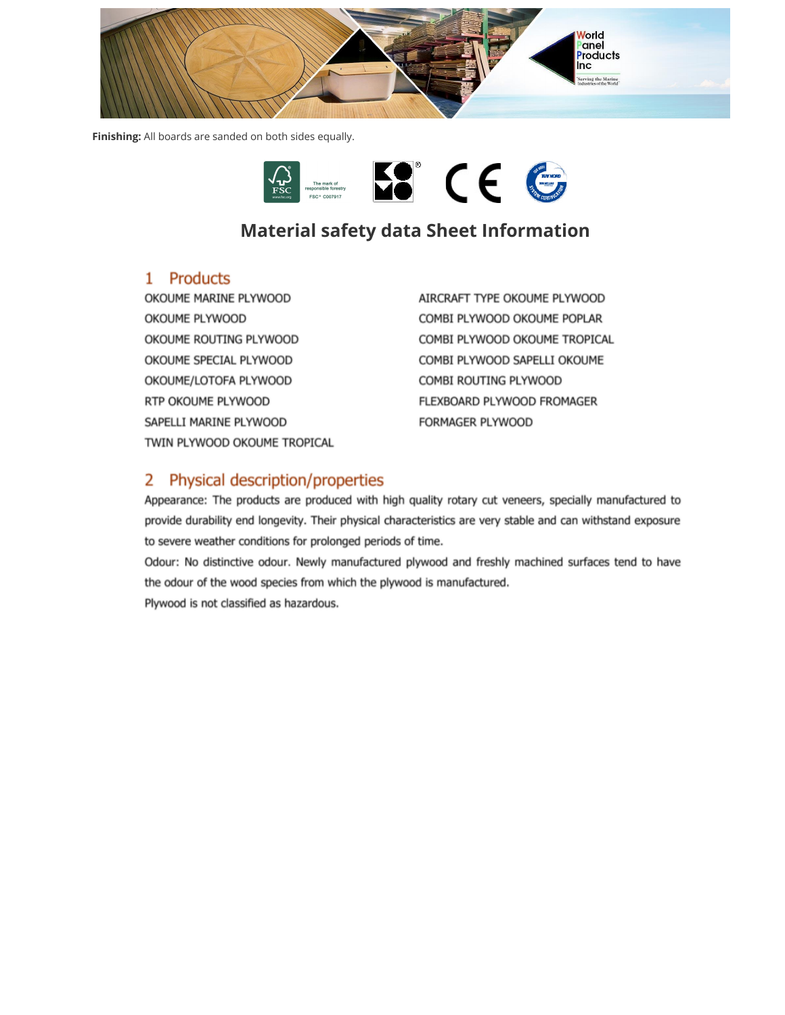

**Finishing:** All boards are sanded on both sides equally.



# **Material safety data Sheet Information**

### 1 Products

OKOUME MARINE PLYWOOD OKOUME PLYWOOD OKOUME ROUTING PLYWOOD OKOUME SPECIAL PLYWOOD OKOUME/LOTOFA PLYWOOD RTP OKOUME PLYWOOD SAPELLI MARINE PLYWOOD TWIN PLYWOOD OKOUME TROPICAL AIRCRAFT TYPE OKOUME PLYWOOD COMBI PLYWOOD OKOUME POPLAR COMBI PLYWOOD OKOUME TROPICAL COMBI PLYWOOD SAPELLI OKOUME COMBI ROUTING PLYWOOD FLEXBOARD PLYWOOD FROMAGER FORMAGER PLYWOOD

## 2 Physical description/properties

Appearance: The products are produced with high quality rotary cut veneers, specially manufactured to provide durability end longevity. Their physical characteristics are very stable and can withstand exposure to severe weather conditions for prolonged periods of time.

Odour: No distinctive odour. Newly manufactured plywood and freshly machined surfaces tend to have the odour of the wood species from which the plywood is manufactured. Plywood is not classified as hazardous.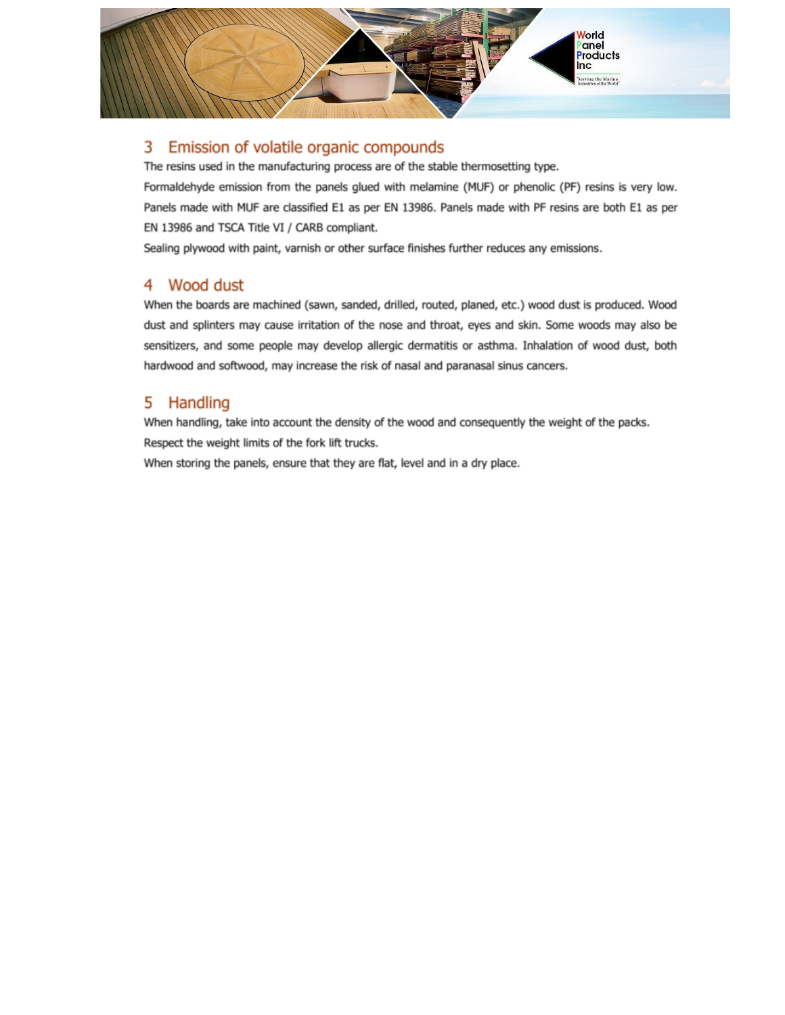

#### 3 Emission of volatile organic compounds

The resins used in the manufacturing process are of the stable thermosetting type.

Formaldehyde emission from the panels glued with melamine (MUF) or phenolic (PF) resins is very low. Panels made with MUF are classified E1 as per EN 13986. Panels made with PF resins are both E1 as per EN 13986 and TSCA Title VI / CARB compliant.

Sealing plywood with paint, varnish or other surface finishes further reduces any emissions.

### 4 Wood dust

When the boards are machined (sawn, sanded, drilled, routed, planed, etc.) wood dust is produced. Wood dust and splinters may cause irritation of the nose and throat, eyes and skin. Some woods may also be sensitizers, and some people may develop allergic dermatitis or asthma. Inhalation of wood dust, both hardwood and softwood, may increase the risk of nasal and paranasal sinus cancers.

#### Handling 5

When handling, take into account the density of the wood and consequently the weight of the packs. Respect the weight limits of the fork lift trucks.

When storing the panels, ensure that they are flat, level and in a dry place.